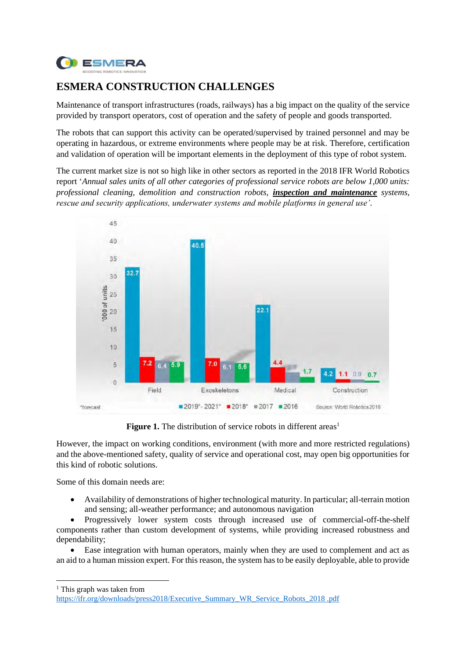

# **ESMERA CONSTRUCTION CHALLENGES**

Maintenance of transport infrastructures (roads, railways) has a big impact on the quality of the service provided by transport operators, cost of operation and the safety of people and goods transported.

The robots that can support this activity can be operated/supervised by trained personnel and may be operating in hazardous, or extreme environments where people may be at risk. Therefore, certification and validation of operation will be important elements in the deployment of this type of robot system.

The current market size is not so high like in other sectors as reported in the 2018 IFR World Robotics report '*Annual sales units of all other categories of professional service robots are below 1,000 units: professional cleaning, demolition and construction robots, inspection and maintenance systems, rescue and security applications, underwater systems and mobile platforms in general use'.*



**Figure 1.** The distribution of service robots in different areas<sup>1</sup>

However, the impact on working conditions, environment (with more and more restricted regulations) and the above-mentioned safety, quality of service and operational cost, may open big opportunities for this kind of robotic solutions.

Some of this domain needs are:

• Availability of demonstrations of higher technological maturity. In particular; all-terrain motion and sensing; all-weather performance; and autonomous navigation

• Progressively lower system costs through increased use of commercial-off-the-shelf components rather than custom development of systems, while providing increased robustness and dependability;

• Ease integration with human operators, mainly when they are used to complement and act as an aid to a human mission expert. For this reason, the system has to be easily deployable, able to provide

<sup>1</sup> This graph was taken from

[https://ifr.org/downloads/press2018/Executive\\_Summary\\_WR\\_Service\\_Robots\\_2018 .pdf](https://ifr.org/downloads/press2018/Executive_Summary_WR_Service_Robots_2018%20.pdf)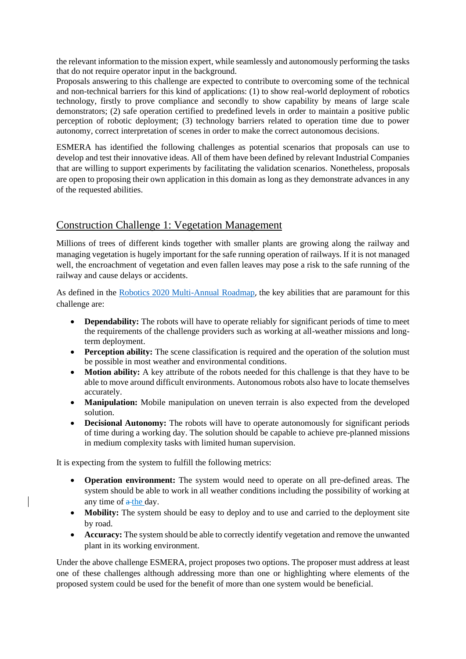the relevant information to the mission expert, while seamlessly and autonomously performing the tasks that do not require operator input in the background.

Proposals answering to this challenge are expected to contribute to overcoming some of the technical and non-technical barriers for this kind of applications: (1) to show real-world deployment of robotics technology, firstly to prove compliance and secondly to show capability by means of large scale demonstrators; (2) safe operation certified to predefined levels in order to maintain a positive public perception of robotic deployment; (3) technology barriers related to operation time due to power autonomy, correct interpretation of scenes in order to make the correct autonomous decisions.

ESMERA has identified the following challenges as potential scenarios that proposals can use to develop and test their innovative ideas. All of them have been defined by relevant Industrial Companies that are willing to support experiments by facilitating the validation scenarios. Nonetheless, proposals are open to proposing their own application in this domain as long as they demonstrate advances in any of the requested abilities.

## Construction Challenge 1: Vegetation Management

Millions of trees of different kinds together with smaller plants are growing along the railway and managing vegetation is hugely important for the safe running operation of railways. If it is not managed well, the encroachment of vegetation and even fallen leaves may pose a risk to the safe running of the railway and cause delays or accidents.

As defined in the [Robotics 2020 Multi-Annual Roadmap](https://www.eu-robotics.net/cms/upload/topic_groups/H2020_Robotics_Multi-Annual_Roadmap_ICT-2017B.pdf), the key abilities that are paramount for this challenge are:

- **Dependability:** The robots will have to operate reliably for significant periods of time to meet the requirements of the challenge providers such as working at all-weather missions and longterm deployment.
- **Perception ability:** The scene classification is required and the operation of the solution must be possible in most weather and environmental conditions.
- **Motion ability:** A key attribute of the robots needed for this challenge is that they have to be able to move around difficult environments. Autonomous robots also have to locate themselves accurately.
- **Manipulation:** Mobile manipulation on uneven terrain is also expected from the developed solution.
- **Decisional Autonomy:** The robots will have to operate autonomously for significant periods of time during a working day. The solution should be capable to achieve pre-planned missions in medium complexity tasks with limited human supervision.

It is expecting from the system to fulfill the following metrics:

- **Operation environment:** The system would need to operate on all pre-defined areas. The system should be able to work in all weather conditions including the possibility of working at any time of  $a$ -the day.
- **Mobility:** The system should be easy to deploy and to use and carried to the deployment site by road.
- **Accuracy:** The system should be able to correctly identify vegetation and remove the unwanted plant in its working environment.

Under the above challenge ESMERA, project proposes two options. The proposer must address at least one of these challenges although addressing more than one or highlighting where elements of the proposed system could be used for the benefit of more than one system would be beneficial.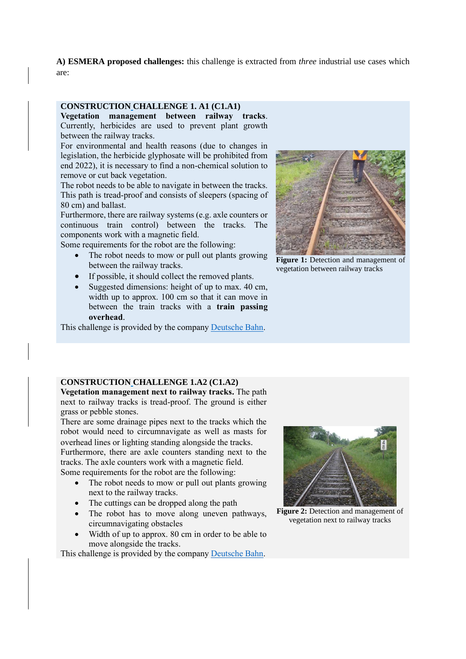**A) ESMERA proposed challenges:** this challenge is extracted from *three* industrial use cases which are:

#### **CONSTRUCTION CHALLENGE 1. A1 (C1.A1)**

**Vegetation management between railway tracks**. Currently, herbicides are used to prevent plant growth between the railway tracks.

For environmental and health reasons (due to changes in legislation, the herbicide glyphosate will be prohibited from end 2022), it is necessary to find a non-chemical solution to remove or cut back vegetation.

The robot needs to be able to navigate in between the tracks. This path is tread-proof and consists of sleepers (spacing of 80 cm) and ballast.

Furthermore, there are railway systems (e.g. axle counters or continuous train control) between the tracks. The components work with a magnetic field.

Some requirements for the robot are the following:

- The robot needs to mow or pull out plants growing between the railway tracks.
- If possible, it should collect the removed plants.
- Suggested dimensions: height of up to max. 40 cm, width up to approx. 100 cm so that it can move in between the train tracks with a **train passing overhead**.

This challenge is provided by the compan[y Deutsche Bahn.](http://www.deutschebahn.com/)



**Figure 1:** Detection and management of vegetation between railway tracks

#### **CONSTRUCTION CHALLENGE 1.A2 (C1.A2)**

**Vegetation management next to railway tracks.** The path next to railway tracks is tread-proof. The ground is either grass or pebble stones.

There are some drainage pipes next to the tracks which the robot would need to circumnavigate as well as masts for overhead lines or lighting standing alongside the tracks. Furthermore, there are axle counters standing next to the tracks. The axle counters work with a magnetic field. Some requirements for the robot are the following:

- The robot needs to mow or pull out plants growing next to the railway tracks.
- The cuttings can be dropped along the path
- The robot has to move along uneven pathways, circumnavigating obstacles
- Width of up to approx. 80 cm in order to be able to move alongside the tracks.

This challenge is provided by the compan[y Deutsche Bahn.](http://www.deutschebahn.com/)



**Figure 2:** Detection and management of vegetation next to railway tracks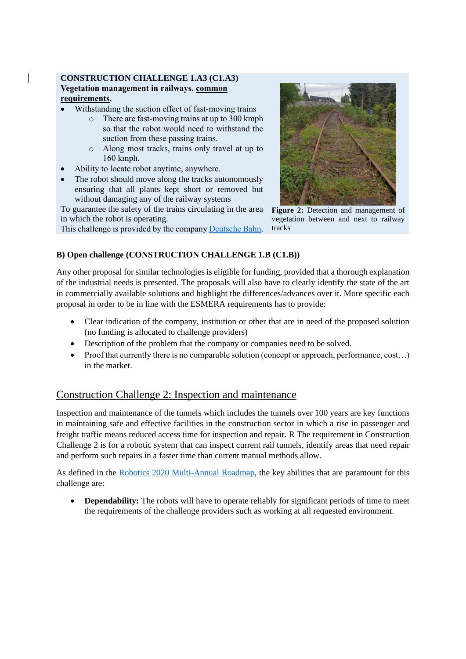### **CONSTRUCTION CHALLENGE 1.A3 (C1.A3) Vegetation management in railways, common requirements.**

- Withstanding the suction effect of fast-moving trains
	- o There are fast-moving trains at up to 300 kmph so that the robot would need to withstand the suction from these passing trains.
	- o Along most tracks, trains only travel at up to 160 kmph.
- Ability to locate robot anytime, anywhere.
- The robot should move along the tracks autonomously ensuring that all plants kept short or removed but without damaging any of the railway systems

To guarantee the safety of the trains circulating in the area in which the robot is operating.

This challenge is provided by the company [Deutsche Bahn.](http://www.deutschebahn.com/)



**Figure 2:** Detection and management of vegetation between and next to railway tracks

### **B) Open challenge (CONSTRUCTION CHALLENGE 1.B (C1.B))**

Any other proposal for similar technologies is eligible for funding, provided that a thorough explanation of the industrial needs is presented. The proposals will also have to clearly identify the state of the art in commercially available solutions and highlight the differences/advances over it. More specific each proposal in order to be in line with the ESMERA requirements has to provide:

- Clear indication of the company, institution or other that are in need of the proposed solution (no funding is allocated to challenge providers)
- Description of the problem that the company or companies need to be solved.
- Proof that currently there is no comparable solution (concept or approach, performance, cost...) in the market.

## Construction Challenge 2: Inspection and maintenance

Inspection and maintenance of the tunnels which includes the tunnels over 100 years are key functions in maintaining safe and effective facilities in the construction sector in which a rise in passenger and freight traffic means reduced access time for inspection and repair. R The requirement in Construction Challenge 2 is for a robotic system that can inspect current rail tunnels, identify areas that need repair and perform such repairs in a faster time than current manual methods allow.

As defined in the [Robotics 2020 Multi-Annual Roadmap,](https://www.eu-robotics.net/cms/upload/topic_groups/H2020_Robotics_Multi-Annual_Roadmap_ICT-2017B.pdf) the key abilities that are paramount for this challenge are:

• **Dependability:** The robots will have to operate reliably for significant periods of time to meet the requirements of the challenge providers such as working at all requested environment.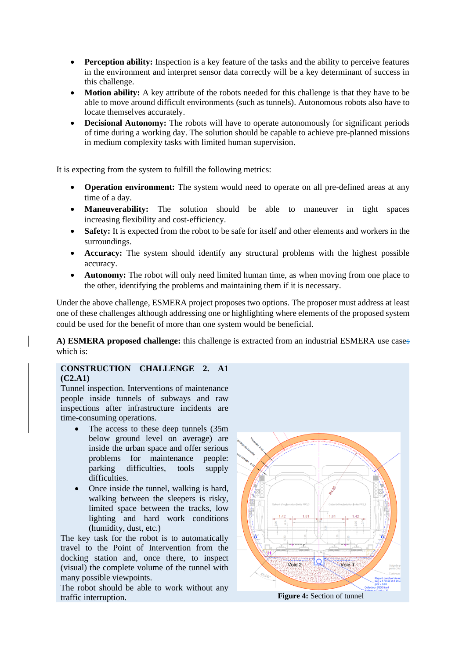- **Perception ability:** Inspection is a key feature of the tasks and the ability to perceive features in the environment and interpret sensor data correctly will be a key determinant of success in this challenge.
- **Motion ability:** A key attribute of the robots needed for this challenge is that they have to be able to move around difficult environments (such as tunnels). Autonomous robots also have to locate themselves accurately.
- **Decisional Autonomy:** The robots will have to operate autonomously for significant periods of time during a working day. The solution should be capable to achieve pre-planned missions in medium complexity tasks with limited human supervision.

It is expecting from the system to fulfill the following metrics:

- **Operation environment:** The system would need to operate on all pre-defined areas at any time of a day.
- **Maneuverability:** The solution should be able to maneuver in tight spaces increasing flexibility and cost-efficiency.
- **Safety:** It is expected from the robot to be safe for itself and other elements and workers in the surroundings.
- **Accuracy:** The system should identify any structural problems with the highest possible accuracy.
- **Autonomy:** The robot will only need limited human time, as when moving from one place to the other, identifying the problems and maintaining them if it is necessary.

Under the above challenge, ESMERA project proposes two options. The proposer must address at least one of these challenges although addressing one or highlighting where elements of the proposed system could be used for the benefit of more than one system would be beneficial.

**A) ESMERA proposed challenge:** this challenge is extracted from an industrial ESMERA use cases which is:

#### **CONSTRUCTION CHALLENGE 2. A1 (C2.A1)**

Tunnel inspection. Interventions of maintenance people inside tunnels of subways and raw inspections after infrastructure incidents are time-consuming operations.

- The access to these deep tunnels  $(35m)$ below ground level on average) are inside the urban space and offer serious problems for maintenance people: parking difficulties, tools supply difficulties.
- Once inside the tunnel, walking is hard, walking between the sleepers is risky, limited space between the tracks, low lighting and hard work conditions (humidity, dust, etc.)

The key task for the robot is to automatically travel to the Point of Intervention from the docking station and, once there, to inspect (visual) the complete volume of the tunnel with many possible viewpoints.

The robot should be able to work without any traffic interruption. **Figure 4:** Section of tunnel